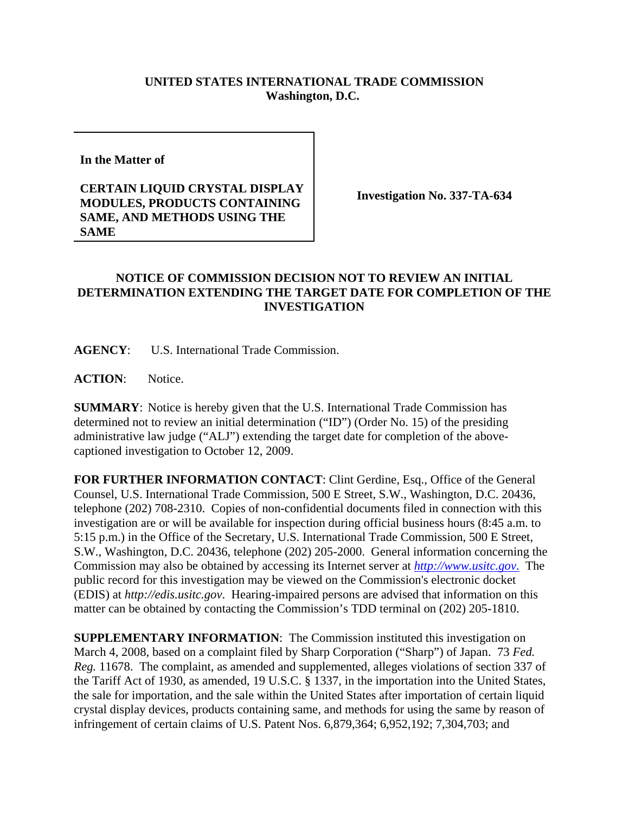## **UNITED STATES INTERNATIONAL TRADE COMMISSION Washington, D.C.**

**In the Matter of** 

## **CERTAIN LIQUID CRYSTAL DISPLAY MODULES, PRODUCTS CONTAINING SAME, AND METHODS USING THE SAME**

**Investigation No. 337-TA-634**

## **NOTICE OF COMMISSION DECISION NOT TO REVIEW AN INITIAL DETERMINATION EXTENDING THE TARGET DATE FOR COMPLETION OF THE INVESTIGATION**

**AGENCY**: U.S. International Trade Commission.

**ACTION**: Notice.

**SUMMARY**: Notice is hereby given that the U.S. International Trade Commission has determined not to review an initial determination ("ID") (Order No. 15) of the presiding administrative law judge ("ALJ") extending the target date for completion of the abovecaptioned investigation to October 12, 2009.

**FOR FURTHER INFORMATION CONTACT**: Clint Gerdine, Esq., Office of the General Counsel, U.S. International Trade Commission, 500 E Street, S.W., Washington, D.C. 20436, telephone (202) 708-2310. Copies of non-confidential documents filed in connection with this investigation are or will be available for inspection during official business hours (8:45 a.m. to 5:15 p.m.) in the Office of the Secretary, U.S. International Trade Commission, 500 E Street, S.W., Washington, D.C. 20436, telephone (202) 205-2000. General information concerning the Commission may also be obtained by accessing its Internet server at *http://www.usitc.gov*. The public record for this investigation may be viewed on the Commission's electronic docket (EDIS) at *http://edis.usitc.gov*. Hearing-impaired persons are advised that information on this matter can be obtained by contacting the Commission's TDD terminal on (202) 205-1810.

**SUPPLEMENTARY INFORMATION**: The Commission instituted this investigation on March 4, 2008, based on a complaint filed by Sharp Corporation ("Sharp") of Japan. 73 *Fed. Reg.* 11678. The complaint, as amended and supplemented, alleges violations of section 337 of the Tariff Act of 1930, as amended, 19 U.S.C. § 1337, in the importation into the United States, the sale for importation, and the sale within the United States after importation of certain liquid crystal display devices, products containing same, and methods for using the same by reason of infringement of certain claims of U.S. Patent Nos. 6,879,364; 6,952,192; 7,304,703; and